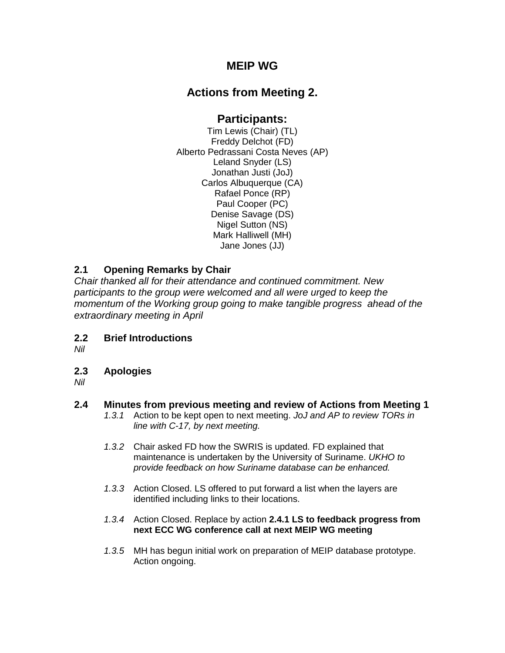## **MEIP WG**

# **Actions from Meeting 2.**

## **Participants:**

Tim Lewis (Chair) (TL) Freddy Delchot (FD) Alberto Pedrassani Costa Neves (AP) Leland Snyder (LS) Jonathan Justi (JoJ) Carlos Albuquerque (CA) Rafael Ponce (RP) Paul Cooper (PC) Denise Savage (DS) Nigel Sutton (NS) Mark Halliwell (MH) Jane Jones (JJ)

### **2.1 Opening Remarks by Chair**

*Chair thanked all for their attendance and continued commitment. New participants to the group were welcomed and all were urged to keep the momentum of the Working group going to make tangible progress ahead of the extraordinary meeting in April*

**2.2 Brief Introductions**

*Nil*

**2.3 Apologies**

*Nil*

### **2.4 Minutes from previous meeting and review of Actions from Meeting 1**

- *1.3.1* Action to be kept open to next meeting. *JoJ and AP to review TORs in line with C-17, by next meeting.*
- *1.3.2* Chair asked FD how the SWRIS is updated. FD explained that maintenance is undertaken by the University of Suriname. *UKHO to provide feedback on how Suriname database can be enhanced.*
- *1.3.3* Action Closed. LS offered to put forward a list when the layers are identified including links to their locations.
- *1.3.4* Action Closed. Replace by action **2.4.1 LS to feedback progress from next ECC WG conference call at next MEIP WG meeting**
- *1.3.5* MH has begun initial work on preparation of MEIP database prototype. Action ongoing.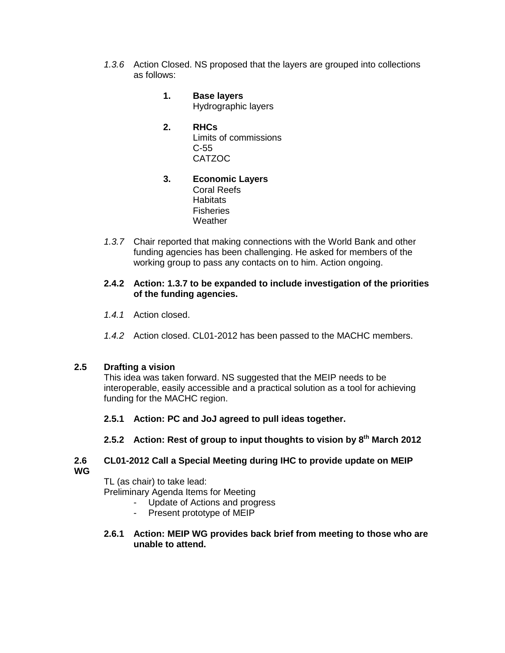- *1.3.6* Action Closed. NS proposed that the layers are grouped into collections as follows:
	- **1. Base layers**  Hydrographic layers
	- **2. RHCs** Limits of commissions C-55 CATZOC
	- **3. Economic Layers** Coral Reefs **Habitats Fisheries Weather**
- *1.3.7* Chair reported that making connections with the World Bank and other funding agencies has been challenging. He asked for members of the working group to pass any contacts on to him. Action ongoing.

#### **2.4.2 Action: 1.3.7 to be expanded to include investigation of the priorities of the funding agencies.**

- *1.4.1* Action closed.
- *1.4.2* Action closed. CL01-2012 has been passed to the MACHC members.

#### **2.5 Drafting a vision**

This idea was taken forward. NS suggested that the MEIP needs to be interoperable, easily accessible and a practical solution as a tool for achieving funding for the MACHC region.

#### **2.5.1 Action: PC and JoJ agreed to pull ideas together.**

**2.5.2 Action: Rest of group to input thoughts to vision by 8th March 2012**

#### **2.6 CL01-2012 Call a Special Meeting during IHC to provide update on MEIP WG**

TL (as chair) to take lead:

Preliminary Agenda Items for Meeting

- Update of Actions and progress
- Present prototype of MEIP
- **2.6.1 Action: MEIP WG provides back brief from meeting to those who are unable to attend.**